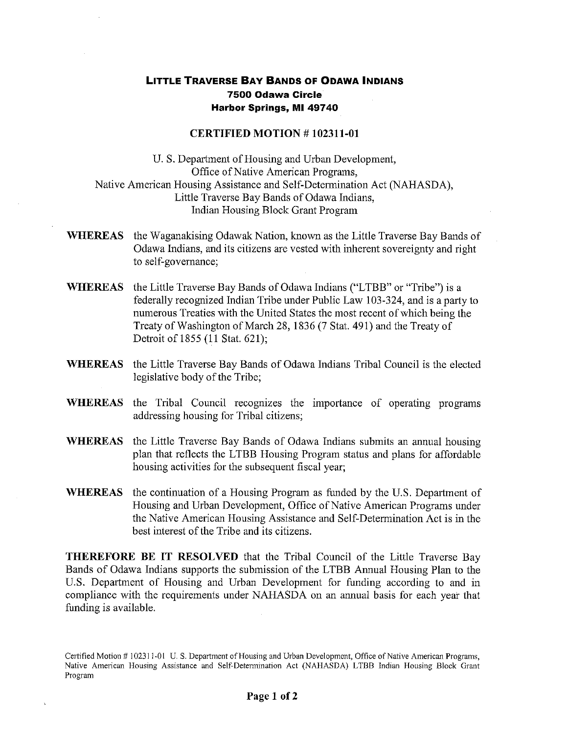## **LITTLE TRAVERSE BAY BANDS OF ODAWA INDIANS 7500 Odawa Circle Harbor Springs, MI 49740**

## **CERTIFIED MOTION # 102311-01**

U. S. Department of Housing and Urban Development, Office of Native American Programs, Native American Housing Assistance and Self-Determination Act (NAHASDA), Little Traverse **Bay** Bands of Odawa Indians, Indian Housing Block Grant Program

- **WHEREAS** the Waganakising Odawak Nation, known as the Little Traverse Bay Bands of Odawa Indians, and its citizens are vested with inherent sovereignty and right to self-governance;
- **WHEREAS** the Little Traverse Bay Bands of Odawa Indians **("LTBB"** or "Tribe") is a federally recognized Indian Tribe under Public Law 103-324, and is a party to numerous Treaties with the United States the most recent of which being the Treaty of Washington of March 28, 1836 (7 Stat. 491) and the Treaty of Detroit of 1855 (11 Stat. 621);
- **WHEREAS** the Little Traverse Bay Bands of Odawa Indians Tribal Council is the elected legislative body of the Tribe;
- **WHEREAS the Tribal** Council recognizes the importance of operating programs addressing housing for Tribal citizens;
- **WHEREAS** the Little Traverse Bay Bands of Odawa Indians submits an annual housing plan that reflects the LTBB Housing Program status and plans for affordable housing activities for the subsequent fiscal year;
- **WHEREAS** the continuation of a Housing Program as funded by the U.S. Department of Housing and Urban Development, Office of Native American Programs under the Native American Housing Assistance and Self-Determination Act is in the best interest of the Tribe and its citizens.

**THEREFORE BE IT RESOLVED** that the Tribal Council of the Little Traverse Bay Bands of Odawa Indians supports the submission of the **LTBB** Annual Housing Plan to the U.S. Department of Housing and Urban Development for funding according to and in compliance with the requirements under NAHASDA on an annual basis for each year that funding is available.

Certified Motion # 102311-01 U. S. Department of Housing and Urban Development, Office of Native American Programs, Native American Housing Assistance and Self-Determination Act (NAHASDA) LTBB Indian Housing Block Grant Program